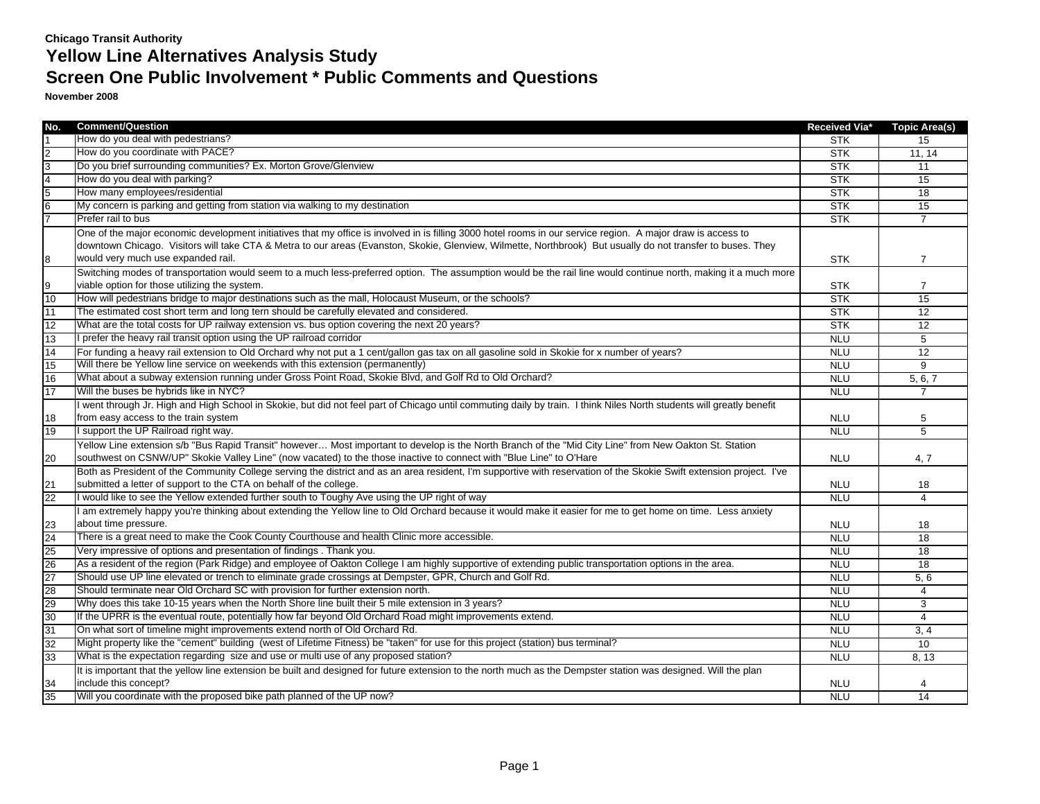| No.             | <b>Comment/Question</b>                                                                                                                                               | Received Via* | <b>Topic Area(s)</b> |
|-----------------|-----------------------------------------------------------------------------------------------------------------------------------------------------------------------|---------------|----------------------|
|                 | How do you deal with pedestrians?                                                                                                                                     | <b>STK</b>    | 15                   |
|                 | How do you coordinate with PACE?                                                                                                                                      | <b>STK</b>    | 11, 14               |
| 3               | Do you brief surrounding communities? Ex. Morton Grove/Glenview                                                                                                       | <b>STK</b>    | 11                   |
|                 | How do you deal with parking?                                                                                                                                         | <b>STK</b>    | $\overline{15}$      |
| 5               | How many employees/residential                                                                                                                                        | <b>STK</b>    | 18                   |
| $6\overline{6}$ | My concern is parking and getting from station via walking to my destination                                                                                          | <b>STK</b>    | $\overline{15}$      |
|                 | Prefer rail to bus                                                                                                                                                    | <b>STK</b>    | $\overline{7}$       |
|                 | One of the major economic development initiatives that my office is involved in is filling 3000 hotel rooms in our service region. A major draw is access to          |               |                      |
|                 | downtown Chicago. Visitors will take CTA & Metra to our areas (Evanston, Skokie, Glenview, Wilmette, Northbrook) But usually do not transfer to buses. They           |               |                      |
| 8               | would very much use expanded rail.                                                                                                                                    | <b>STK</b>    | 7                    |
|                 | Switching modes of transportation would seem to a much less-preferred option. The assumption would be the rail line would continue north, making it a much more       |               |                      |
| 9               | viable option for those utilizing the system.                                                                                                                         | <b>STK</b>    | 7                    |
| 10              | How will pedestrians bridge to major destinations such as the mall, Holocaust Museum, or the schools?                                                                 | <b>STK</b>    | 15                   |
| 11              | The estimated cost short term and long tern should be carefully elevated and considered.                                                                              | <b>STK</b>    | 12                   |
| 12              | What are the total costs for UP railway extension vs. bus option covering the next 20 years?                                                                          | <b>STK</b>    | 12                   |
| 13              | I prefer the heavy rail transit option using the UP railroad corridor                                                                                                 | <b>NLU</b>    | 5                    |
| 14              | For funding a heavy rail extension to Old Orchard why not put a 1 cent/gallon gas tax on all gasoline sold in Skokie for x number of years?                           | <b>NLU</b>    | 12                   |
| 15              | Will there be Yellow line service on weekends with this extension (permanently)                                                                                       | <b>NLU</b>    | 9                    |
| 16              | What about a subway extension running under Gross Point Road, Skokie Blvd, and Golf Rd to Old Orchard?                                                                | <b>NLU</b>    | 5, 6, 7              |
| 17              | Will the buses be hybrids like in NYC?                                                                                                                                | <b>NLU</b>    | $\overline{7}$       |
|                 | I went through Jr. High and High School in Skokie, but did not feel part of Chicago until commuting daily by train. I think Niles North students will greatly benefit |               |                      |
| 18              | from easy access to the train system                                                                                                                                  | <b>NLU</b>    | 5                    |
| 19              | I support the UP Railroad right way.                                                                                                                                  | <b>NLU</b>    | $\overline{5}$       |
|                 | Yellow Line extension s/b "Bus Rapid Transit" however Most important to develop is the North Branch of the "Mid City Line" from New Oakton St. Station                |               |                      |
| 20              | southwest on CSNW/UP" Skokie Valley Line" (now vacated) to the those inactive to connect with "Blue Line" to O'Hare                                                   | <b>NLU</b>    | 4, 7                 |
|                 | Both as President of the Community College serving the district and as an area resident, I'm supportive with reservation of the Skokie Swift extension project. I've  |               |                      |
| 21              | submitted a letter of support to the CTA on behalf of the college.                                                                                                    | <b>NLU</b>    | 18                   |
| 22              | I would like to see the Yellow extended further south to Toughy Ave using the UP right of way                                                                         | <b>NLU</b>    | $\overline{4}$       |
|                 | am extremely happy you're thinking about extending the Yellow line to Old Orchard because it would make it easier for me to get home on time. Less anxiety            |               |                      |
| 23              | about time pressure.                                                                                                                                                  | <b>NLU</b>    | 18                   |
| 24              | There is a great need to make the Cook County Courthouse and health Clinic more accessible.                                                                           | <b>NLU</b>    | 18                   |
| 25              | Very impressive of options and presentation of findings. Thank you.                                                                                                   | <b>NLU</b>    | 18                   |
| 26              | As a resident of the region (Park Ridge) and employee of Oakton College I am highly supportive of extending public transportation options in the area.                | <b>NLU</b>    | 18                   |
| 27              | Should use UP line elevated or trench to eliminate grade crossings at Dempster, GPR, Church and Golf Rd.                                                              | <b>NLU</b>    | 5, 6                 |
| 28              | Should terminate near Old Orchard SC with provision for further extension north.                                                                                      | <b>NLU</b>    | 4                    |
| 29              | Why does this take 10-15 years when the North Shore line built their 5 mile extension in 3 years?                                                                     | <b>NLU</b>    | 3                    |
| 30              | If the UPRR is the eventual route, potentially how far beyond Old Orchard Road might improvements extend.                                                             | <b>NLU</b>    | $\overline{4}$       |
| 31              | On what sort of timeline might improvements extend north of Old Orchard Rd.                                                                                           | <b>NLU</b>    | 3.4                  |
| 32              | Might property like the "cement" building (west of Lifetime Fitness) be "taken" for use for this project (station) bus terminal?                                      | <b>NLU</b>    | 10                   |
| 33              | What is the expectation regarding size and use or multi use of any proposed station?                                                                                  | <b>NLU</b>    | 8, 13                |
|                 | It is important that the yellow line extension be built and designed for future extension to the north much as the Dempster station was designed. Will the plan       |               |                      |
| 34              | include this concept?                                                                                                                                                 | <b>NLU</b>    |                      |
| 35              | Will you coordinate with the proposed bike path planned of the UP now?                                                                                                | <b>NLU</b>    | 14                   |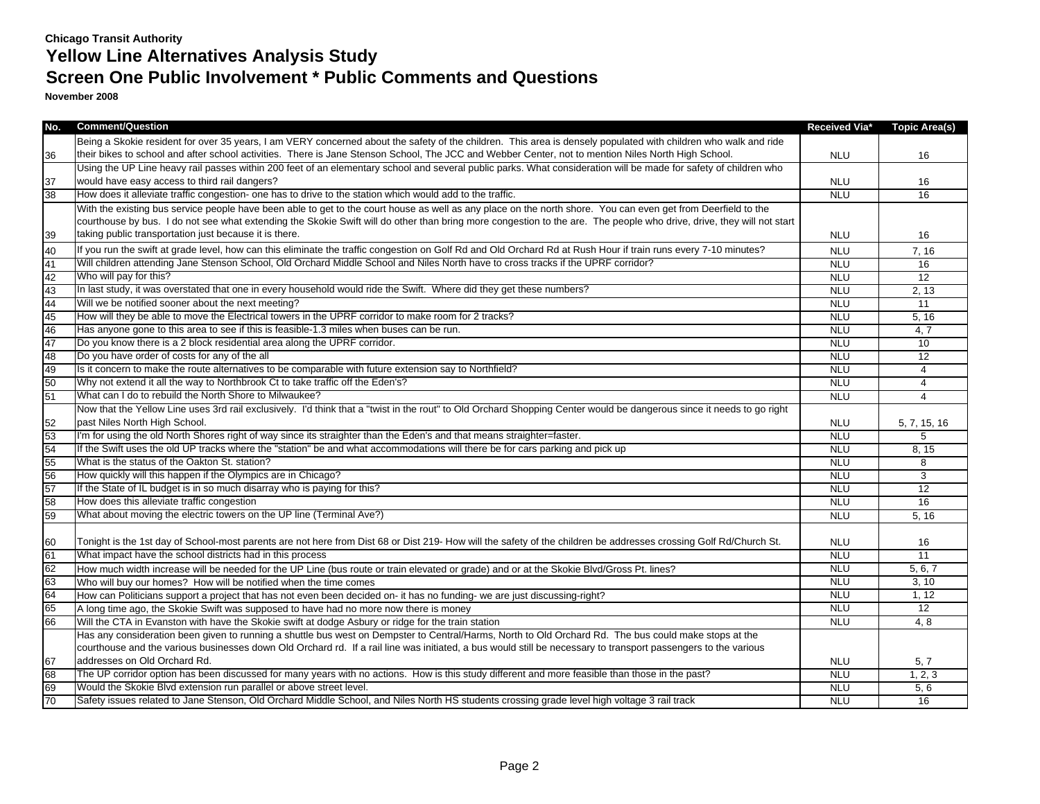| No. | <b>Comment/Question</b>                                                                                                                                               | Received Via* | <b>Topic Area(s)</b> |
|-----|-----------------------------------------------------------------------------------------------------------------------------------------------------------------------|---------------|----------------------|
|     | Being a Skokie resident for over 35 years, I am VERY concerned about the safety of the children. This area is densely populated with children who walk and ride       |               |                      |
| 36  | their bikes to school and after school activities. There is Jane Stenson School, The JCC and Webber Center, not to mention Niles North High School.                   | <b>NLU</b>    | 16                   |
|     | Using the UP Line heavy rail passes within 200 feet of an elementary school and several public parks. What consideration will be made for safety of children who      |               |                      |
| 37  | would have easy access to third rail dangers?                                                                                                                         | <b>NLU</b>    | 16                   |
| 38  | How does it alleviate traffic congestion- one has to drive to the station which would add to the traffic.                                                             | <b>NLU</b>    | 16                   |
|     | With the existing bus service people have been able to get to the court house as well as any place on the north shore. You can even get from Deerfield to the         |               |                      |
|     | courthouse by bus. I do not see what extending the Skokie Swift will do other than bring more congestion to the are. The people who drive, drive, they will not start |               |                      |
| 39  | taking public transportation just because it is there.                                                                                                                | <b>NLU</b>    | 16                   |
| 40  | If you run the swift at grade level, how can this eliminate the traffic congestion on Golf Rd and Old Orchard Rd at Rush Hour if train runs every 7-10 minutes?       | <b>NLU</b>    | 7, 16                |
| 41  | Will children attending Jane Stenson School, Old Orchard Middle School and Niles North have to cross tracks if the UPRF corridor?                                     | <b>NLU</b>    | 16                   |
| 42  | Who will pay for this?                                                                                                                                                | <b>NLU</b>    | 12                   |
| 43  | In last study, it was overstated that one in every household would ride the Swift. Where did they get these numbers?                                                  | <b>NLU</b>    | 2, 13                |
| 44  | Will we be notified sooner about the next meeting?                                                                                                                    | <b>NLU</b>    | 11                   |
| 45  | How will they be able to move the Electrical towers in the UPRF corridor to make room for 2 tracks?                                                                   | <b>NLU</b>    | 5, 16                |
| 46  | Has anyone gone to this area to see if this is feasible-1.3 miles when buses can be run.                                                                              | <b>NLU</b>    | 4,7                  |
| 47  | Do you know there is a 2 block residential area along the UPRF corridor.                                                                                              | <b>NLU</b>    | 10                   |
| 48  | Do you have order of costs for any of the all                                                                                                                         | <b>NLU</b>    | 12                   |
| 49  | Is it concern to make the route alternatives to be comparable with future extension say to Northfield?                                                                | <b>NLU</b>    | $\overline{4}$       |
| 50  | Why not extend it all the way to Northbrook Ct to take traffic off the Eden's?                                                                                        | <b>NLU</b>    | $\overline{4}$       |
| 51  | What can I do to rebuild the North Shore to Milwaukee?                                                                                                                | <b>NLU</b>    | 4                    |
|     | Now that the Yellow Line uses 3rd rail exclusively. I'd think that a "twist in the rout" to Old Orchard Shopping Center would be dangerous since it needs to go right |               |                      |
| 52  | past Niles North High School.                                                                                                                                         | <b>NLU</b>    | 5, 7, 15, 16         |
| 53  | I'm for using the old North Shores right of way since its straighter than the Eden's and that means straighter=faster.                                                | <b>NLU</b>    | 5                    |
| 54  | If the Swift uses the old UP tracks where the "station" be and what accommodations will there be for cars parking and pick up                                         | <b>NLU</b>    | 8, 15                |
| 55  | What is the status of the Oakton St. station?                                                                                                                         | <b>NLU</b>    | 8                    |
| 56  | How quickly will this happen if the Olympics are in Chicago?                                                                                                          | <b>NLU</b>    | 3                    |
| 57  | If the State of IL budget is in so much disarray who is paying for this?                                                                                              | <b>NLU</b>    | $\overline{12}$      |
| 58  | How does this alleviate traffic congestion                                                                                                                            | <b>NLU</b>    | 16                   |
| 59  | What about moving the electric towers on the UP line (Terminal Ave?)                                                                                                  | <b>NLU</b>    | 5.16                 |
|     |                                                                                                                                                                       |               |                      |
| 60  | Tonight is the 1st day of School-most parents are not here from Dist 68 or Dist 219- How will the safety of the children be addresses crossing Golf Rd/Church St.     | <b>NLU</b>    | 16                   |
| 61  | What impact have the school districts had in this process                                                                                                             | <b>NLU</b>    | 11                   |
| 62  | How much width increase will be needed for the UP Line (bus route or train elevated or grade) and or at the Skokie Blvd/Gross Pt. lines?                              | <b>NLU</b>    | 5, 6, 7              |
| 63  | Who will buy our homes? How will be notified when the time comes                                                                                                      | <b>NLU</b>    | 3, 10                |
| 64  | How can Politicians support a project that has not even been decided on- it has no funding- we are just discussing-right?                                             | <b>NLU</b>    | 1, 12                |
| 65  | A long time ago, the Skokie Swift was supposed to have had no more now there is money                                                                                 | <b>NLU</b>    | 12                   |
| 66  | Will the CTA in Evanston with have the Skokie swift at dodge Asbury or ridge for the train station                                                                    | <b>NLU</b>    | 4,8                  |
|     | Has any consideration been given to running a shuttle bus west on Dempster to Central/Harms, North to Old Orchard Rd. The bus could make stops at the                 |               |                      |
|     | courthouse and the various businesses down Old Orchard rd. If a rail line was initiated, a bus would still be necessary to transport passengers to the various        |               |                      |
| 67  | addresses on Old Orchard Rd.                                                                                                                                          | <b>NLU</b>    | 5, 7                 |
| 68  | The UP corridor option has been discussed for many years with no actions. How is this study different and more feasible than those in the past?                       | <b>NLU</b>    | 1, 2, 3              |
| 69  | Would the Skokie Blvd extension run parallel or above street level.                                                                                                   | <b>NLU</b>    | 5, 6                 |
| 70  | Safety issues related to Jane Stenson, Old Orchard Middle School, and Niles North HS students crossing grade level high voltage 3 rail track                          | <b>NLU</b>    | 16                   |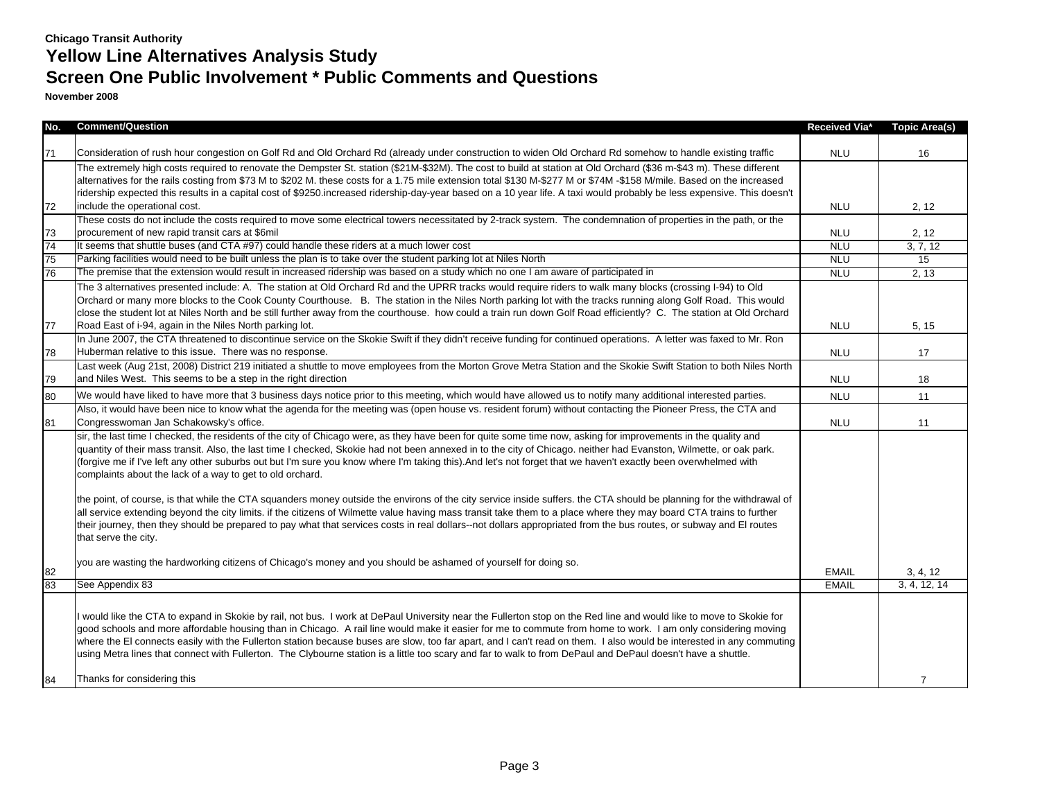# **Screen One Public Involvement \* Public Comments and Questions**

| No. | <b>Comment/Question</b>                                                                                                                                                                                                                                                                                                                                                                                                                                                                                                                                                                                                                                                                                                                                                                                                                                                                                                                                                                                                                                                                                           | Received Via* | <b>Topic Area(s)</b> |
|-----|-------------------------------------------------------------------------------------------------------------------------------------------------------------------------------------------------------------------------------------------------------------------------------------------------------------------------------------------------------------------------------------------------------------------------------------------------------------------------------------------------------------------------------------------------------------------------------------------------------------------------------------------------------------------------------------------------------------------------------------------------------------------------------------------------------------------------------------------------------------------------------------------------------------------------------------------------------------------------------------------------------------------------------------------------------------------------------------------------------------------|---------------|----------------------|
|     |                                                                                                                                                                                                                                                                                                                                                                                                                                                                                                                                                                                                                                                                                                                                                                                                                                                                                                                                                                                                                                                                                                                   |               |                      |
| 71  | Consideration of rush hour congestion on Golf Rd and Old Orchard Rd (already under construction to widen Old Orchard Rd somehow to handle existing traffic                                                                                                                                                                                                                                                                                                                                                                                                                                                                                                                                                                                                                                                                                                                                                                                                                                                                                                                                                        | <b>NLU</b>    | 16                   |
|     | The extremely high costs required to renovate the Dempster St. station (\$21M-\$32M). The cost to build at station at Old Orchard (\$36 m-\$43 m). These different                                                                                                                                                                                                                                                                                                                                                                                                                                                                                                                                                                                                                                                                                                                                                                                                                                                                                                                                                |               |                      |
|     | alternatives for the rails costing from \$73 M to \$202 M. these costs for a 1.75 mile extension total \$130 M-\$277 M or \$74M -\$158 M/mile. Based on the increased                                                                                                                                                                                                                                                                                                                                                                                                                                                                                                                                                                                                                                                                                                                                                                                                                                                                                                                                             |               |                      |
|     | ridership expected this results in a capital cost of \$9250 increased ridership-day-year based on a 10 year life. A taxi would probably be less expensive. This doesn't                                                                                                                                                                                                                                                                                                                                                                                                                                                                                                                                                                                                                                                                                                                                                                                                                                                                                                                                           |               |                      |
| 72  | include the operational cost.                                                                                                                                                                                                                                                                                                                                                                                                                                                                                                                                                                                                                                                                                                                                                                                                                                                                                                                                                                                                                                                                                     | <b>NLU</b>    | 2, 12                |
| 73  | These costs do not include the costs required to move some electrical towers necessitated by 2-track system. The condemnation of properties in the path, or the<br>procurement of new rapid transit cars at \$6mil                                                                                                                                                                                                                                                                                                                                                                                                                                                                                                                                                                                                                                                                                                                                                                                                                                                                                                | <b>NLU</b>    | 2, 12                |
| 74  | It seems that shuttle buses (and CTA #97) could handle these riders at a much lower cost                                                                                                                                                                                                                                                                                                                                                                                                                                                                                                                                                                                                                                                                                                                                                                                                                                                                                                                                                                                                                          | <b>NLU</b>    | 3, 7, 12             |
| 75  | Parking facilities would need to be built unless the plan is to take over the student parking lot at Niles North                                                                                                                                                                                                                                                                                                                                                                                                                                                                                                                                                                                                                                                                                                                                                                                                                                                                                                                                                                                                  | <b>NLU</b>    | 15                   |
| 76  | The premise that the extension would result in increased ridership was based on a study which no one I am aware of participated in                                                                                                                                                                                                                                                                                                                                                                                                                                                                                                                                                                                                                                                                                                                                                                                                                                                                                                                                                                                | <b>NLU</b>    | 2, 13                |
|     | The 3 alternatives presented include: A. The station at Old Orchard Rd and the UPRR tracks would require riders to walk many blocks (crossing I-94) to Old<br>Orchard or many more blocks to the Cook County Courthouse. B. The station in the Niles North parking lot with the tracks running along Golf Road. This would<br>close the student lot at Niles North and be still further away from the courthouse. how could a train run down Golf Road efficiently? C. The station at Old Orchard                                                                                                                                                                                                                                                                                                                                                                                                                                                                                                                                                                                                                 |               |                      |
| 77  | Road East of i-94, again in the Niles North parking lot.                                                                                                                                                                                                                                                                                                                                                                                                                                                                                                                                                                                                                                                                                                                                                                                                                                                                                                                                                                                                                                                          | <b>NLU</b>    | 5, 15                |
| 78  | In June 2007, the CTA threatened to discontinue service on the Skokie Swift if they didn't receive funding for continued operations. A letter was faxed to Mr. Ron<br>Huberman relative to this issue. There was no response.                                                                                                                                                                                                                                                                                                                                                                                                                                                                                                                                                                                                                                                                                                                                                                                                                                                                                     | <b>NLU</b>    | 17                   |
| 79  | Last week (Aug 21st, 2008) District 219 initiated a shuttle to move employees from the Morton Grove Metra Station and the Skokie Swift Station to both Niles North<br>and Niles West. This seems to be a step in the right direction                                                                                                                                                                                                                                                                                                                                                                                                                                                                                                                                                                                                                                                                                                                                                                                                                                                                              | <b>NLU</b>    | 18                   |
| 80  | We would have liked to have more that 3 business days notice prior to this meeting, which would have allowed us to notify many additional interested parties.                                                                                                                                                                                                                                                                                                                                                                                                                                                                                                                                                                                                                                                                                                                                                                                                                                                                                                                                                     | <b>NLU</b>    | 11                   |
| 81  | Also, it would have been nice to know what the agenda for the meeting was (open house vs. resident forum) without contacting the Pioneer Press, the CTA and<br>Congresswoman Jan Schakowsky's office.                                                                                                                                                                                                                                                                                                                                                                                                                                                                                                                                                                                                                                                                                                                                                                                                                                                                                                             | <b>NLU</b>    | 11                   |
|     | sir, the last time I checked, the residents of the city of Chicago were, as they have been for quite some time now, asking for improvements in the quality and<br>quantity of their mass transit. Also, the last time I checked, Skokie had not been annexed in to the city of Chicago. neither had Evanston, Wilmette, or oak park.<br>(forgive me if I've left any other suburbs out but I'm sure you know where I'm taking this). And let's not forget that we haven't exactly been overwhelmed with<br>complaints about the lack of a way to get to old orchard.<br>the point, of course, is that while the CTA squanders money outside the environs of the city service inside suffers, the CTA should be planning for the withdrawal of<br>all service extending beyond the city limits. if the citizens of Wilmette value having mass transit take them to a place where they may board CTA trains to further<br>their journey, then they should be prepared to pay what that services costs in real dollars-not dollars appropriated from the bus routes, or subway and EI routes<br>that serve the city. |               |                      |
| 82  | you are wasting the hardworking citizens of Chicago's money and you should be ashamed of yourself for doing so.                                                                                                                                                                                                                                                                                                                                                                                                                                                                                                                                                                                                                                                                                                                                                                                                                                                                                                                                                                                                   | <b>EMAIL</b>  | 3, 4, 12             |
| 83  | See Appendix 83                                                                                                                                                                                                                                                                                                                                                                                                                                                                                                                                                                                                                                                                                                                                                                                                                                                                                                                                                                                                                                                                                                   | <b>EMAIL</b>  | 3, 4, 12, 14         |
|     | I would like the CTA to expand in Skokie by rail, not bus. I work at DePaul University near the Fullerton stop on the Red line and would like to move to Skokie for<br>good schools and more affordable housing than in Chicago. A rail line would make it easier for me to commute from home to work. I am only considering moving<br>where the EI connects easily with the Fullerton station because buses are slow, too far apart, and I can't read on them. I also would be interested in any commuting<br>using Metra lines that connect with Fullerton. The Clybourne station is a little too scary and far to walk to from DePaul and DePaul doesn't have a shuttle.                                                                                                                                                                                                                                                                                                                                                                                                                                       |               |                      |
| 84  | Thanks for considering this                                                                                                                                                                                                                                                                                                                                                                                                                                                                                                                                                                                                                                                                                                                                                                                                                                                                                                                                                                                                                                                                                       |               | $\overline{7}$       |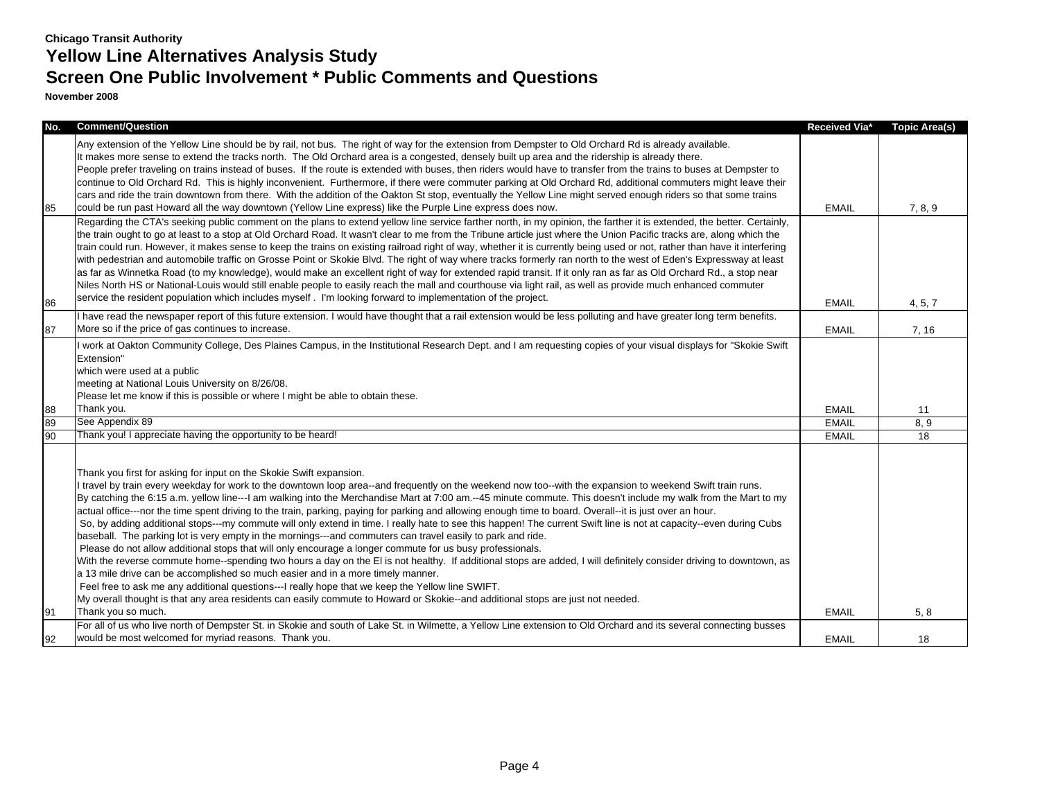| No. | <b>Comment/Question</b>                                                                                                                                                                                                                                                                                                                                                                                                                                                                                                                                                                                                                                                                                                                                                                                                                                                                                                                                                                                                                                                                                                                                                                                                                                                                                                                                                                                                                                                                                                                                                                                                                                         | Received Via* | <b>Topic Area(s)</b> |
|-----|-----------------------------------------------------------------------------------------------------------------------------------------------------------------------------------------------------------------------------------------------------------------------------------------------------------------------------------------------------------------------------------------------------------------------------------------------------------------------------------------------------------------------------------------------------------------------------------------------------------------------------------------------------------------------------------------------------------------------------------------------------------------------------------------------------------------------------------------------------------------------------------------------------------------------------------------------------------------------------------------------------------------------------------------------------------------------------------------------------------------------------------------------------------------------------------------------------------------------------------------------------------------------------------------------------------------------------------------------------------------------------------------------------------------------------------------------------------------------------------------------------------------------------------------------------------------------------------------------------------------------------------------------------------------|---------------|----------------------|
| 85  | Any extension of the Yellow Line should be by rail, not bus. The right of way for the extension from Dempster to Old Orchard Rd is already available.<br>It makes more sense to extend the tracks north. The Old Orchard area is a congested, densely built up area and the ridership is already there.<br>People prefer traveling on trains instead of buses. If the route is extended with buses, then riders would have to transfer from the trains to buses at Dempster to<br>continue to Old Orchard Rd. This is highly inconvenient. Furthermore, if there were commuter parking at Old Orchard Rd, additional commuters might leave their<br>cars and ride the train downtown from there. With the addition of the Oakton St stop, eventually the Yellow Line might served enough riders so that some trains<br>could be run past Howard all the way downtown (Yellow Line express) like the Purple Line express does now.                                                                                                                                                                                                                                                                                                                                                                                                                                                                                                                                                                                                                                                                                                                               | <b>EMAIL</b>  | 7, 8, 9              |
|     | Regarding the CTA's seeking public comment on the plans to extend yellow line service farther north, in my opinion, the farther it is extended, the better. Certainly,<br>the train ought to go at least to a stop at Old Orchard Road. It wasn't clear to me from the Tribune article just where the Union Pacific tracks are, along which the<br>train could run. However, it makes sense to keep the trains on existing railroad right of way, whether it is currently being used or not, rather than have it interfering<br>with pedestrian and automobile traffic on Grosse Point or Skokie Blvd. The right of way where tracks formerly ran north to the west of Eden's Expressway at least<br>as far as Winnetka Road (to my knowledge), would make an excellent right of way for extended rapid transit. If it only ran as far as Old Orchard Rd., a stop near<br>Niles North HS or National-Louis would still enable people to easily reach the mall and courthouse via light rail, as well as provide much enhanced commuter                                                                                                                                                                                                                                                                                                                                                                                                                                                                                                                                                                                                                          |               |                      |
| 86  | service the resident population which includes myself. I'm looking forward to implementation of the project.                                                                                                                                                                                                                                                                                                                                                                                                                                                                                                                                                                                                                                                                                                                                                                                                                                                                                                                                                                                                                                                                                                                                                                                                                                                                                                                                                                                                                                                                                                                                                    | <b>EMAIL</b>  | 4, 5, 7              |
| 87  | I have read the newspaper report of this future extension. I would have thought that a rail extension would be less polluting and have greater long term benefits.<br>More so if the price of gas continues to increase.                                                                                                                                                                                                                                                                                                                                                                                                                                                                                                                                                                                                                                                                                                                                                                                                                                                                                                                                                                                                                                                                                                                                                                                                                                                                                                                                                                                                                                        | <b>EMAIL</b>  | 7, 16                |
|     | I work at Oakton Community College, Des Plaines Campus, in the Institutional Research Dept. and I am requesting copies of your visual displays for "Skokie Swift<br>Extension"<br>which were used at a public<br>meeting at National Louis University on 8/26/08.<br>Please let me know if this is possible or where I might be able to obtain these.                                                                                                                                                                                                                                                                                                                                                                                                                                                                                                                                                                                                                                                                                                                                                                                                                                                                                                                                                                                                                                                                                                                                                                                                                                                                                                           |               |                      |
| 88  | Thank you.                                                                                                                                                                                                                                                                                                                                                                                                                                                                                                                                                                                                                                                                                                                                                                                                                                                                                                                                                                                                                                                                                                                                                                                                                                                                                                                                                                                                                                                                                                                                                                                                                                                      | <b>EMAIL</b>  | 11                   |
| 89  | See Appendix 89                                                                                                                                                                                                                                                                                                                                                                                                                                                                                                                                                                                                                                                                                                                                                                                                                                                                                                                                                                                                                                                                                                                                                                                                                                                                                                                                                                                                                                                                                                                                                                                                                                                 | <b>EMAIL</b>  | 8, 9                 |
| 90  | Thank you! I appreciate having the opportunity to be heard!                                                                                                                                                                                                                                                                                                                                                                                                                                                                                                                                                                                                                                                                                                                                                                                                                                                                                                                                                                                                                                                                                                                                                                                                                                                                                                                                                                                                                                                                                                                                                                                                     | <b>EMAIL</b>  | 18                   |
| 91  | Thank you first for asking for input on the Skokie Swift expansion.<br>travel by train every weekday for work to the downtown loop area--and frequently on the weekend now too--with the expansion to weekend Swift train runs.<br>By catching the 6:15 a.m. yellow line---I am walking into the Merchandise Mart at 7:00 am.--45 minute commute. This doesn't include my walk from the Mart to my<br>actual office---nor the time spent driving to the train, parking, paying for parking and allowing enough time to board. Overall--it is just over an hour.<br>So, by adding additional stops---my commute will only extend in time. I really hate to see this happen! The current Swift line is not at capacity--even during Cubs<br>baseball. The parking lot is very empty in the mornings---and commuters can travel easily to park and ride.<br>Please do not allow additional stops that will only encourage a longer commute for us busy professionals.<br>With the reverse commute home--spending two hours a day on the EI is not healthy. If additional stops are added, I will definitely consider driving to downtown, as<br>a 13 mile drive can be accomplished so much easier and in a more timely manner.<br>Feel free to ask me any additional questions---I really hope that we keep the Yellow line SWIFT.<br>My overall thought is that any area residents can easily commute to Howard or Skokie--and additional stops are just not needed.<br>Thank you so much.<br>For all of us who live north of Dempster St. in Skokie and south of Lake St. in Wilmette, a Yellow Line extension to Old Orchard and its several connecting busses | <b>EMAIL</b>  | 5, 8                 |
|     | would be most welcomed for myriad reasons. Thank you.                                                                                                                                                                                                                                                                                                                                                                                                                                                                                                                                                                                                                                                                                                                                                                                                                                                                                                                                                                                                                                                                                                                                                                                                                                                                                                                                                                                                                                                                                                                                                                                                           | <b>EMAIL</b>  | 18                   |
| 92  |                                                                                                                                                                                                                                                                                                                                                                                                                                                                                                                                                                                                                                                                                                                                                                                                                                                                                                                                                                                                                                                                                                                                                                                                                                                                                                                                                                                                                                                                                                                                                                                                                                                                 |               |                      |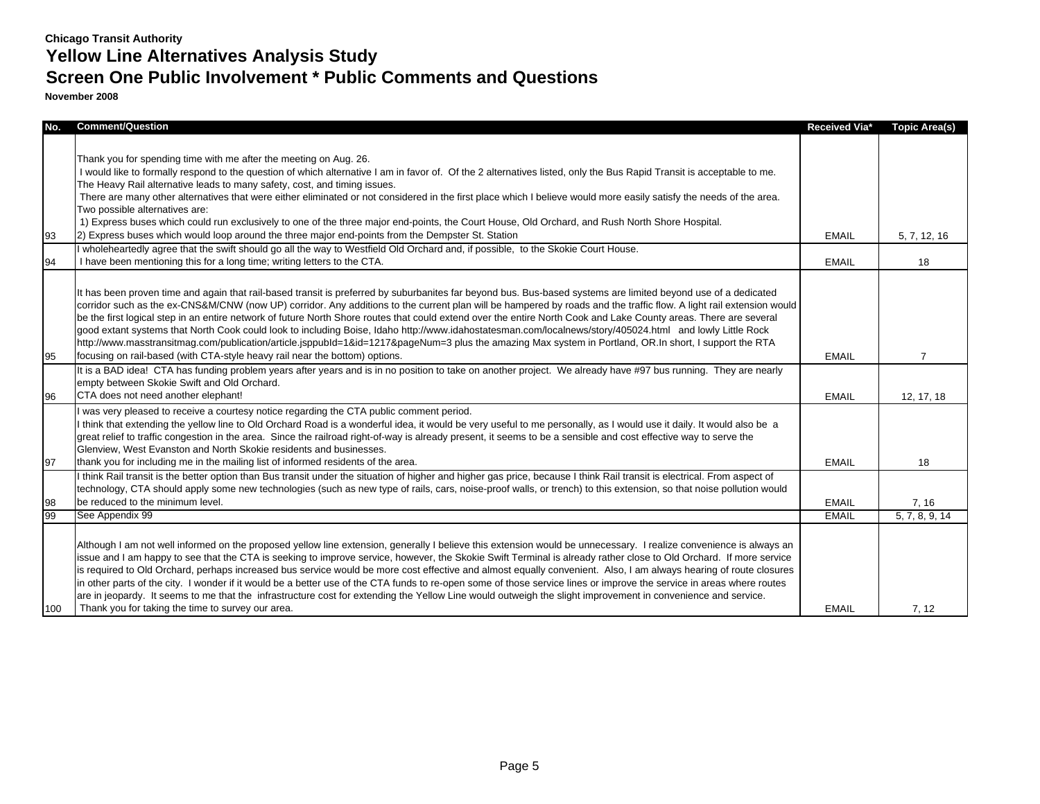## **Screen One Public Involvement \* Public Comments and Questions**

| No. | <b>Comment/Question</b>                                                                                                                                                                                                                 | Received Via*                                                                                                | <b>Topic Area(s)</b> |
|-----|-----------------------------------------------------------------------------------------------------------------------------------------------------------------------------------------------------------------------------------------|--------------------------------------------------------------------------------------------------------------|----------------------|
|     |                                                                                                                                                                                                                                         |                                                                                                              |                      |
|     | Thank you for spending time with me after the meeting on Aug. 26.                                                                                                                                                                       |                                                                                                              |                      |
|     | I would like to formally respond to the question of which alternative I am in favor of. Of the 2 alternatives listed, only the Bus Rapid Transit is acceptable to me.                                                                   | <b>EMAIL</b><br><b>EMAIL</b><br><b>EMAIL</b><br><b>EMAIL</b><br><b>EMAIL</b><br><b>EMAIL</b><br><b>EMAIL</b> |                      |
|     | The Heavy Rail alternative leads to many safety, cost, and timing issues.                                                                                                                                                               |                                                                                                              |                      |
|     | There are many other alternatives that were either eliminated or not considered in the first place which I believe would more easily satisfy the needs of the area.                                                                     |                                                                                                              |                      |
|     | Two possible alternatives are:                                                                                                                                                                                                          |                                                                                                              |                      |
|     | 1) Express buses which could run exclusively to one of the three major end-points, the Court House, Old Orchard, and Rush North Shore Hospital.                                                                                         |                                                                                                              |                      |
| 93  | 2) Express buses which would loop around the three major end-points from the Dempster St. Station                                                                                                                                       |                                                                                                              | 5, 7, 12, 16         |
|     | I wholeheartedly agree that the swift should go all the way to Westfield Old Orchard and, if possible, to the Skokie Court House.                                                                                                       |                                                                                                              |                      |
| 94  | I have been mentioning this for a long time; writing letters to the CTA.                                                                                                                                                                |                                                                                                              | 18                   |
|     |                                                                                                                                                                                                                                         |                                                                                                              |                      |
|     | It has been proven time and again that rail-based transit is preferred by suburbanites far beyond bus. Bus-based systems are limited beyond use of a dedicated                                                                          |                                                                                                              |                      |
|     | corridor such as the ex-CNS&M/CNW (now UP) corridor. Any additions to the current plan will be hampered by roads and the traffic flow. A light rail extension would                                                                     |                                                                                                              |                      |
|     | be the first logical step in an entire network of future North Shore routes that could extend over the entire North Cook and Lake County areas. There are several                                                                       |                                                                                                              |                      |
|     | good extant systems that North Cook could look to including Boise, Idaho http://www.idahostatesman.com/localnews/story/405024.html and lowly Little Rock                                                                                |                                                                                                              |                      |
|     | http://www.masstransitmag.com/publication/article.jsppubld=1&id=1217&pageNum=3 plus the amazing Max system in Portland, OR.In short, I support the RTA                                                                                  |                                                                                                              |                      |
| 95  | focusing on rail-based (with CTA-style heavy rail near the bottom) options.                                                                                                                                                             |                                                                                                              | $\overline{7}$       |
|     | It is a BAD idea! CTA has funding problem years after years and is in no position to take on another project. We already have #97 bus running. They are nearly                                                                          |                                                                                                              |                      |
|     | empty between Skokie Swift and Old Orchard.                                                                                                                                                                                             |                                                                                                              |                      |
| 96  | CTA does not need another elephant!                                                                                                                                                                                                     |                                                                                                              | 12, 17, 18           |
|     | was very pleased to receive a courtesy notice regarding the CTA public comment period.                                                                                                                                                  |                                                                                                              |                      |
|     | think that extending the yellow line to Old Orchard Road is a wonderful idea, it would be very useful to me personally, as I would use it daily. It would also be a                                                                     |                                                                                                              |                      |
|     | great relief to traffic congestion in the area. Since the railroad right-of-way is already present, it seems to be a sensible and cost effective way to serve the<br>Glenview, West Evanston and North Skokie residents and businesses. |                                                                                                              |                      |
|     | thank you for including me in the mailing list of informed residents of the area.                                                                                                                                                       |                                                                                                              | 18                   |
| 97  | I think Rail transit is the better option than Bus transit under the situation of higher and higher gas price, because I think Rail transit is electrical. From aspect of                                                               |                                                                                                              |                      |
|     | technology, CTA should apply some new technologies (such as new type of rails, cars, noise-proof walls, or trench) to this extension, so that noise pollution would                                                                     |                                                                                                              |                      |
| 98  | be reduced to the minimum level.                                                                                                                                                                                                        |                                                                                                              | 7, 16                |
| 99  | See Appendix 99                                                                                                                                                                                                                         |                                                                                                              | 5, 7, 8, 9, 14       |
|     |                                                                                                                                                                                                                                         |                                                                                                              |                      |
|     | Although I am not well informed on the proposed yellow line extension, generally I believe this extension would be unnecessary. I realize convenience is always an                                                                      |                                                                                                              |                      |
|     | issue and I am happy to see that the CTA is seeking to improve service, however, the Skokie Swift Terminal is already rather close to Old Orchard. If more service                                                                      |                                                                                                              |                      |
|     | is required to Old Orchard, perhaps increased bus service would be more cost effective and almost equally convenient. Also, I am always hearing of route closures                                                                       |                                                                                                              |                      |
|     | in other parts of the city. I wonder if it would be a better use of the CTA funds to re-open some of those service lines or improve the service in areas where routes                                                                   |                                                                                                              |                      |
|     | are in jeopardy. It seems to me that the infrastructure cost for extending the Yellow Line would outweigh the slight improvement in convenience and service.                                                                            |                                                                                                              |                      |
| 100 | Thank you for taking the time to survey our area.                                                                                                                                                                                       | <b>EMAIL</b>                                                                                                 | 7, 12                |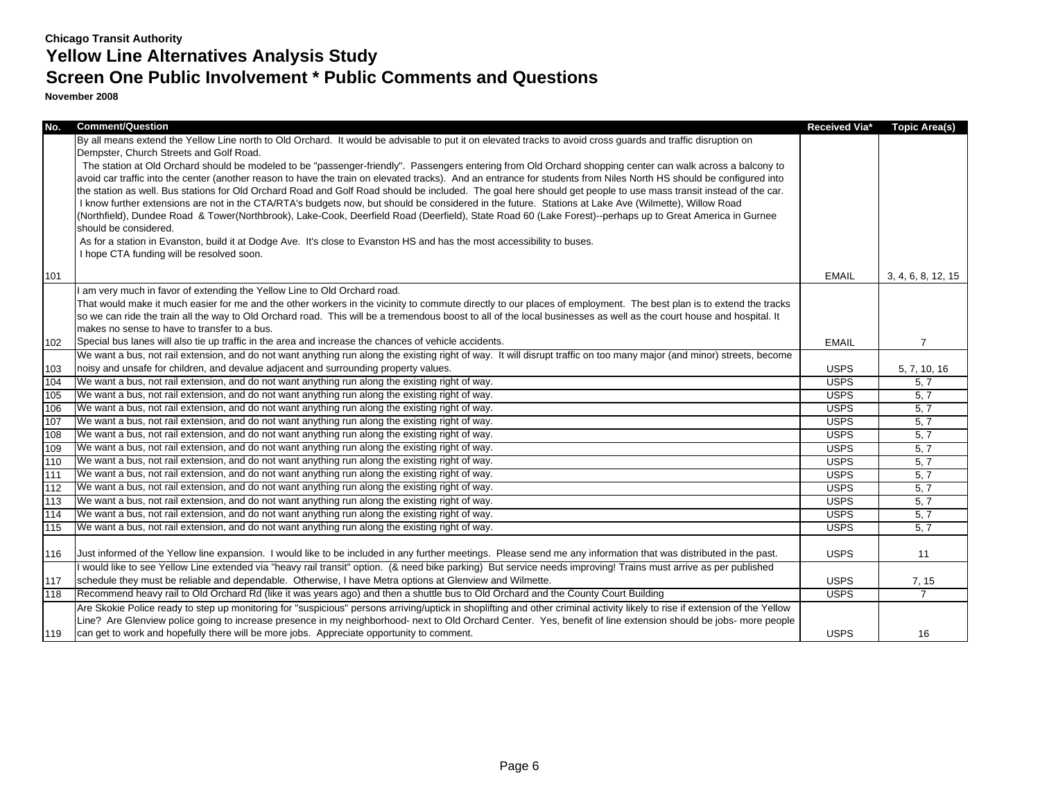| No. | <b>Comment/Question</b>                                                                                                                                                     | Received Via* | Topic Area(s)      |
|-----|-----------------------------------------------------------------------------------------------------------------------------------------------------------------------------|---------------|--------------------|
|     | By all means extend the Yellow Line north to Old Orchard. It would be advisable to put it on elevated tracks to avoid cross guards and traffic disruption on                |               |                    |
|     | Dempster, Church Streets and Golf Road.                                                                                                                                     |               |                    |
|     | The station at Old Orchard should be modeled to be "passenger-friendly". Passengers entering from Old Orchard shopping center can walk across a balcony to                  |               |                    |
|     | avoid car traffic into the center (another reason to have the train on elevated tracks). And an entrance for students from Niles North HS should be configured into         |               |                    |
|     | the station as well. Bus stations for Old Orchard Road and Golf Road should be included. The goal here should get people to use mass transit instead of the car.            |               |                    |
|     | I know further extensions are not in the CTA/RTA's budgets now, but should be considered in the future. Stations at Lake Ave (Wilmette), Willow Road                        |               |                    |
|     | (Northfield), Dundee Road & Tower(Northbrook), Lake-Cook, Deerfield Road (Deerfield), State Road 60 (Lake Forest)--perhaps up to Great America in Gurnee                    |               |                    |
|     | should be considered.                                                                                                                                                       |               |                    |
|     | As for a station in Evanston, build it at Dodge Ave. It's close to Evanston HS and has the most accessibility to buses.<br>I hope CTA funding will be resolved soon.        |               |                    |
|     |                                                                                                                                                                             |               |                    |
| 101 |                                                                                                                                                                             | <b>EMAIL</b>  | 3, 4, 6, 8, 12, 15 |
|     | am very much in favor of extending the Yellow Line to Old Orchard road.                                                                                                     |               |                    |
|     | That would make it much easier for me and the other workers in the vicinity to commute directly to our places of employment. The best plan is to extend the tracks          |               |                    |
|     | so we can ride the train all the way to Old Orchard road. This will be a tremendous boost to all of the local businesses as well as the court house and hospital. It        |               |                    |
|     | makes no sense to have to transfer to a bus.                                                                                                                                |               |                    |
| 102 | Special bus lanes will also tie up traffic in the area and increase the chances of vehicle accidents.                                                                       | <b>EMAIL</b>  | 7                  |
|     | We want a bus, not rail extension, and do not want anything run along the existing right of way. It will disrupt traffic on too many major (and minor) streets, become      |               |                    |
| 103 | noisy and unsafe for children, and devalue adjacent and surrounding property values.                                                                                        | <b>USPS</b>   | 5, 7, 10, 16       |
| 104 | We want a bus, not rail extension, and do not want anything run along the existing right of way.                                                                            | <b>USPS</b>   | 5, 7               |
| 105 | We want a bus, not rail extension, and do not want anything run along the existing right of way.                                                                            | <b>USPS</b>   | 5, 7               |
| 106 | We want a bus, not rail extension, and do not want anything run along the existing right of way.                                                                            | <b>USPS</b>   | 5, 7               |
| 107 | We want a bus, not rail extension, and do not want anything run along the existing right of way.                                                                            | <b>USPS</b>   | 5, 7               |
| 108 | We want a bus, not rail extension, and do not want anything run along the existing right of way.                                                                            | <b>USPS</b>   | 5, 7               |
| 109 | We want a bus, not rail extension, and do not want anything run along the existing right of way.                                                                            | <b>USPS</b>   | 5, 7               |
| 110 | We want a bus, not rail extension, and do not want anything run along the existing right of way.                                                                            | <b>USPS</b>   | 5, 7               |
| 111 | We want a bus, not rail extension, and do not want anything run along the existing right of way.                                                                            | <b>USPS</b>   | 5, 7               |
| 112 | We want a bus, not rail extension, and do not want anything run along the existing right of way.                                                                            | <b>USPS</b>   | 5, 7               |
| 113 | We want a bus, not rail extension, and do not want anything run along the existing right of way.                                                                            | <b>USPS</b>   | 5, 7               |
| 114 | We want a bus, not rail extension, and do not want anything run along the existing right of way.                                                                            | <b>USPS</b>   | 5, 7               |
| 115 | We want a bus, not rail extension, and do not want anything run along the existing right of way.                                                                            | <b>USPS</b>   | 5, 7               |
|     |                                                                                                                                                                             |               |                    |
| 116 | Just informed of the Yellow line expansion. I would like to be included in any further meetings. Please send me any information that was distributed in the past.           | <b>USPS</b>   | 11                 |
|     | I would like to see Yellow Line extended via "heavy rail transit" option. (& need bike parking) But service needs improving! Trains must arrive as per published            |               |                    |
| 117 | schedule they must be reliable and dependable. Otherwise, I have Metra options at Glenview and Wilmette.                                                                    | <b>USPS</b>   | 7, 15              |
| 118 | Recommend heavy rail to Old Orchard Rd (like it was years ago) and then a shuttle bus to Old Orchard and the County Court Building                                          | <b>USPS</b>   |                    |
|     | Are Skokie Police ready to step up monitoring for "suspicious" persons arriving/uptick in shoplifting and other criminal activity likely to rise if extension of the Yellow |               |                    |
|     | Line? Are Glenview police going to increase presence in my neighborhood- next to Old Orchard Center. Yes, benefit of line extension should be jobs- more people             |               |                    |
| 119 | can get to work and hopefully there will be more jobs. Appreciate opportunity to comment.                                                                                   | <b>USPS</b>   | 16                 |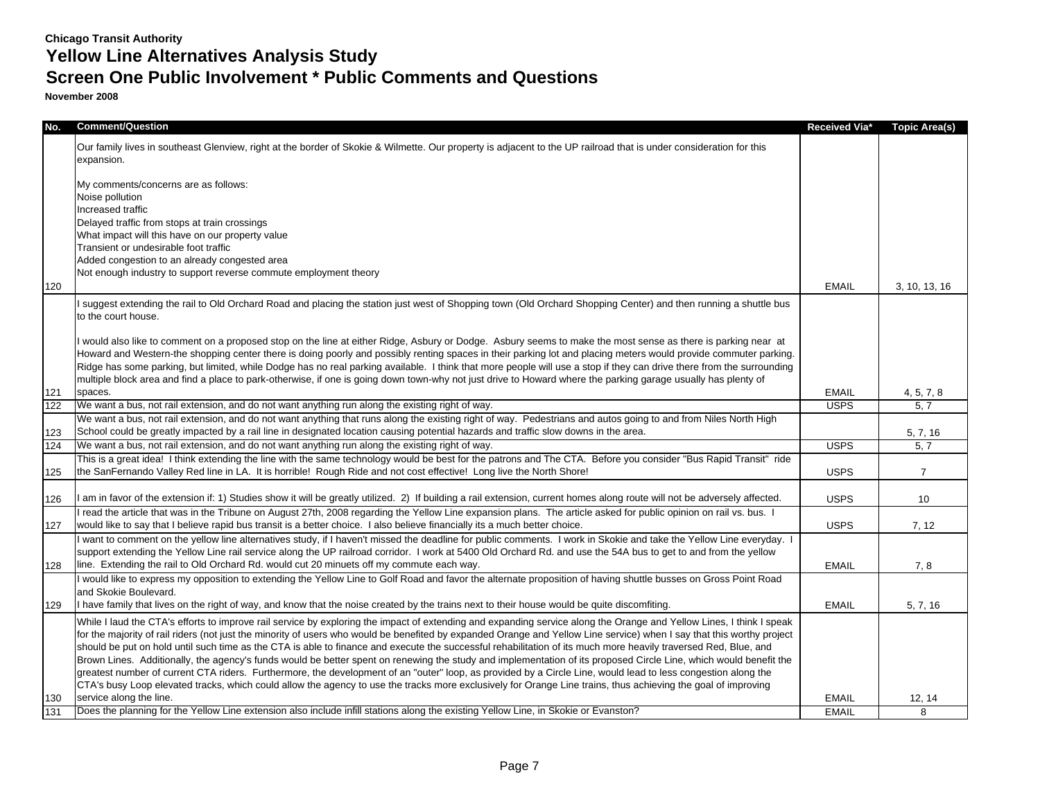# **Screen One Public Involvement \* Public Comments and Questions**

| No. | <b>Comment/Question</b>                                                                                                                                                                                                                                                                                                                                                                                                                                                                                                                                                                                                                                                                                                                                                                                                                                                                                                                                                                                                  | Received Via* | Topic Area(s)  |
|-----|--------------------------------------------------------------------------------------------------------------------------------------------------------------------------------------------------------------------------------------------------------------------------------------------------------------------------------------------------------------------------------------------------------------------------------------------------------------------------------------------------------------------------------------------------------------------------------------------------------------------------------------------------------------------------------------------------------------------------------------------------------------------------------------------------------------------------------------------------------------------------------------------------------------------------------------------------------------------------------------------------------------------------|---------------|----------------|
|     | Our family lives in southeast Glenview, right at the border of Skokie & Wilmette. Our property is adjacent to the UP railroad that is under consideration for this<br>expansion.                                                                                                                                                                                                                                                                                                                                                                                                                                                                                                                                                                                                                                                                                                                                                                                                                                         |               |                |
|     | My comments/concerns are as follows:<br>Noise pollution                                                                                                                                                                                                                                                                                                                                                                                                                                                                                                                                                                                                                                                                                                                                                                                                                                                                                                                                                                  |               |                |
|     | Increased traffic                                                                                                                                                                                                                                                                                                                                                                                                                                                                                                                                                                                                                                                                                                                                                                                                                                                                                                                                                                                                        |               |                |
|     | Delayed traffic from stops at train crossings                                                                                                                                                                                                                                                                                                                                                                                                                                                                                                                                                                                                                                                                                                                                                                                                                                                                                                                                                                            |               |                |
|     | What impact will this have on our property value<br>Transient or undesirable foot traffic                                                                                                                                                                                                                                                                                                                                                                                                                                                                                                                                                                                                                                                                                                                                                                                                                                                                                                                                |               |                |
|     | Added congestion to an already congested area                                                                                                                                                                                                                                                                                                                                                                                                                                                                                                                                                                                                                                                                                                                                                                                                                                                                                                                                                                            |               |                |
|     | Not enough industry to support reverse commute employment theory                                                                                                                                                                                                                                                                                                                                                                                                                                                                                                                                                                                                                                                                                                                                                                                                                                                                                                                                                         |               |                |
| 120 |                                                                                                                                                                                                                                                                                                                                                                                                                                                                                                                                                                                                                                                                                                                                                                                                                                                                                                                                                                                                                          | <b>EMAIL</b>  | 3, 10, 13, 16  |
|     | I suggest extending the rail to Old Orchard Road and placing the station just west of Shopping town (Old Orchard Shopping Center) and then running a shuttle bus<br>to the court house.                                                                                                                                                                                                                                                                                                                                                                                                                                                                                                                                                                                                                                                                                                                                                                                                                                  |               |                |
|     | I would also like to comment on a proposed stop on the line at either Ridge, Asbury or Dodge. Asbury seems to make the most sense as there is parking near at<br>Howard and Western-the shopping center there is doing poorly and possibly renting spaces in their parking lot and placing meters would provide commuter parking.<br>Ridge has some parking, but limited, while Dodge has no real parking available. I think that more people will use a stop if they can drive there from the surrounding<br>multiple block area and find a place to park-otherwise, if one is going down town-why not just drive to Howard where the parking garage usually has plenty of                                                                                                                                                                                                                                                                                                                                              |               |                |
| 121 | spaces.                                                                                                                                                                                                                                                                                                                                                                                                                                                                                                                                                                                                                                                                                                                                                                                                                                                                                                                                                                                                                  | <b>EMAIL</b>  | 4, 5, 7, 8     |
| 122 | We want a bus, not rail extension, and do not want anything run along the existing right of way.                                                                                                                                                                                                                                                                                                                                                                                                                                                                                                                                                                                                                                                                                                                                                                                                                                                                                                                         | <b>USPS</b>   | 5, 7           |
|     | We want a bus, not rail extension, and do not want anything that runs along the existing right of way. Pedestrians and autos going to and from Niles North High                                                                                                                                                                                                                                                                                                                                                                                                                                                                                                                                                                                                                                                                                                                                                                                                                                                          |               |                |
| 123 | School could be greatly impacted by a rail line in designated location causing potential hazards and traffic slow downs in the area.                                                                                                                                                                                                                                                                                                                                                                                                                                                                                                                                                                                                                                                                                                                                                                                                                                                                                     |               | 5, 7, 16       |
| 124 | We want a bus, not rail extension, and do not want anything run along the existing right of way.                                                                                                                                                                                                                                                                                                                                                                                                                                                                                                                                                                                                                                                                                                                                                                                                                                                                                                                         | <b>USPS</b>   | 5.7            |
| 125 | This is a great idea! I think extending the line with the same technology would be best for the patrons and The CTA. Before you consider "Bus Rapid Transit" ride<br>the SanFernando Valley Red line in LA. It is horrible! Rough Ride and not cost effective! Long live the North Shore!                                                                                                                                                                                                                                                                                                                                                                                                                                                                                                                                                                                                                                                                                                                                | <b>USPS</b>   | $\overline{7}$ |
| 126 | I am in favor of the extension if: 1) Studies show it will be greatly utilized. 2) If building a rail extension, current homes along route will not be adversely affected.                                                                                                                                                                                                                                                                                                                                                                                                                                                                                                                                                                                                                                                                                                                                                                                                                                               | <b>USPS</b>   | 10             |
| 127 | I read the article that was in the Tribune on August 27th, 2008 regarding the Yellow Line expansion plans. The article asked for public opinion on rail vs. bus. I<br>would like to say that I believe rapid bus transit is a better choice. I also believe financially its a much better choice.                                                                                                                                                                                                                                                                                                                                                                                                                                                                                                                                                                                                                                                                                                                        | <b>USPS</b>   | 7, 12          |
| 128 | I want to comment on the yellow line alternatives study, if I haven't missed the deadline for public comments. I work in Skokie and take the Yellow Line everyday.<br>support extending the Yellow Line rail service along the UP railroad corridor. I work at 5400 Old Orchard Rd. and use the 54A bus to get to and from the yellow<br>line. Extending the rail to Old Orchard Rd. would cut 20 minuets off my commute each way.                                                                                                                                                                                                                                                                                                                                                                                                                                                                                                                                                                                       | <b>EMAIL</b>  | 7, 8           |
|     | I would like to express my opposition to extending the Yellow Line to Golf Road and favor the alternate proposition of having shuttle busses on Gross Point Road<br>and Skokie Boulevard.                                                                                                                                                                                                                                                                                                                                                                                                                                                                                                                                                                                                                                                                                                                                                                                                                                |               |                |
| 129 | I have family that lives on the right of way, and know that the noise created by the trains next to their house would be quite discomfiting.                                                                                                                                                                                                                                                                                                                                                                                                                                                                                                                                                                                                                                                                                                                                                                                                                                                                             | <b>EMAIL</b>  | 5, 7, 16       |
|     | While I laud the CTA's efforts to improve rail service by exploring the impact of extending and expanding service along the Orange and Yellow Lines, I think I speak<br>for the majority of rail riders (not just the minority of users who would be benefited by expanded Orange and Yellow Line service) when I say that this worthy project<br>should be put on hold until such time as the CTA is able to finance and execute the successful rehabilitation of its much more heavily traversed Red, Blue, and<br>Brown Lines. Additionally, the agency's funds would be better spent on renewing the study and implementation of its proposed Circle Line, which would benefit the<br>greatest number of current CTA riders. Furthermore, the development of an "outer" loop, as provided by a Circle Line, would lead to less congestion along the<br>CTA's busy Loop elevated tracks, which could allow the agency to use the tracks more exclusively for Orange Line trains, thus achieving the goal of improving |               |                |
| 130 | service along the line.                                                                                                                                                                                                                                                                                                                                                                                                                                                                                                                                                                                                                                                                                                                                                                                                                                                                                                                                                                                                  | <b>EMAIL</b>  | 12, 14         |
| 131 | Does the planning for the Yellow Line extension also include infill stations along the existing Yellow Line, in Skokie or Evanston?                                                                                                                                                                                                                                                                                                                                                                                                                                                                                                                                                                                                                                                                                                                                                                                                                                                                                      | <b>EMAIL</b>  | 8              |